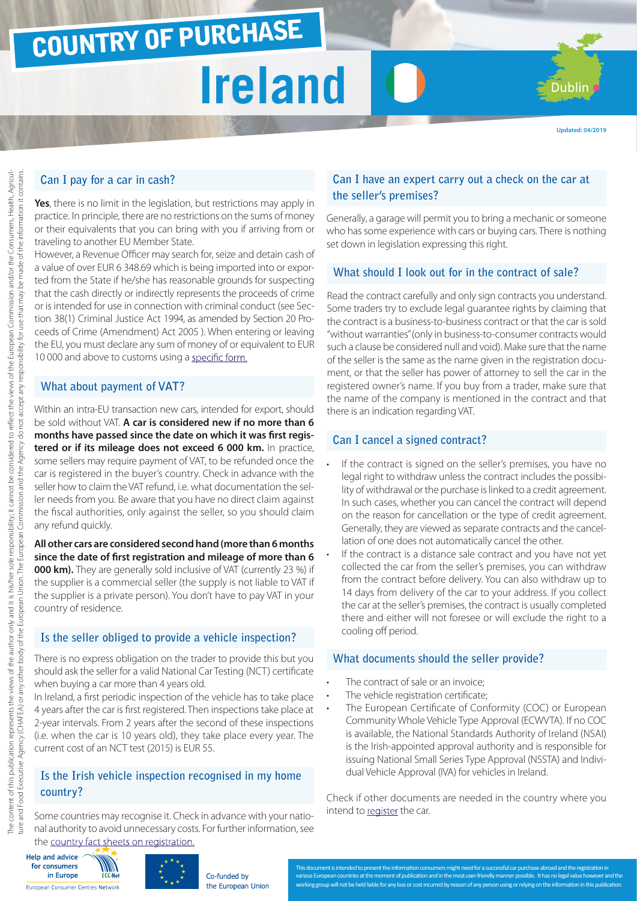## COUNTRY OF PURCHASE

# **Ireland**

Dublin

#### **Can I pay for a car in cash?**

**Yes**, there is no limit in the legislation, but restrictions may apply in practice. In principle, there are no restrictions on the sums of money or their equivalents that you can bring with you if arriving from or traveling to another EU Member State.

However, a Revenue Officer may search for, seize and detain cash of a value of over EUR 6 348.69 which is being imported into or exported from the State if he/she has reasonable grounds for suspecting that the cash directly or indirectly represents the proceeds of crime or is intended for use in connection with criminal conduct (see Section 38(1) Criminal Justice Act 1994, as amended by Section 20 Proceeds of Crime (Amendment) Act 2005 ). When entering or leaving the EU, you must declare any sum of money of or equivalent to EUR 10 000 and above to customs using a [specific form.](http://ec.europa.eu/taxation_customs/resources/documents/customs/customs_controls/cash_controls/declaration_forms/declaration_form_ie_en.pdf)

#### **What about payment of VAT?**

Within an intra-EU transaction new cars, intended for export, should be sold without VAT. **A car is considered new if no more than 6 months have passed since the date on which it was first registered or if its mileage does not exceed 6 000 km.** In practice, some sellers may require payment of VAT, to be refunded once the car is registered in the buyer's country. Check in advance with the seller how to claim the VAT refund, i.e. what documentation the seller needs from you. Be aware that you have no direct claim against the fiscal authorities, only against the seller, so you should claim any refund quickly.

**All other cars are considered second hand (more than 6 months since the date of first registration and mileage of more than 6 000 km).** They are generally sold inclusive of VAT (currently 23 %) if the supplier is a commercial seller (the supply is not liable to VAT if the supplier is a private person). You don't have to pay VAT in your country of residence.

#### **Is the seller obliged to provide a vehicle inspection?**

There is no express obligation on the trader to provide this but you should ask the seller for a valid National Car Testing (NCT) certificate when buying a car more than 4 years old.

In Ireland, a first periodic inspection of the vehicle has to take place 4 years after the car is first registered. Then inspections take place at 2-year intervals. From 2 years after the second of these inspections (i.e. when the car is 10 years old), they take place every year. The current cost of an NCT test (2015) is EUR 55.

#### **Is the Irish vehicle inspection recognised in my home country?**

Some countries may recognise it. Check in advance with your national authority to avoid unnecessary costs. For further information, see the [country fact sheets on registration.](http://www.europe-consommateurs.eu/en/consumer-topics/on-the-road/buying-a-car/cross-border-car-purchase-and-registration/)

#### Help and advice for consumers in Europe European Consumer Centres Network



#### Co-funded by the European Union

#### **Can I have an expert carry out a check on the car at the seller's premises?**

Generally, a garage will permit you to bring a mechanic or someone who has some experience with cars or buying cars. There is nothing set down in legislation expressing this right.

#### **What should I look out for in the contract of sale?**

Read the contract carefully and only sign contracts you understand. Some traders try to exclude legal guarantee rights by claiming that the contract is a business-to-business contract or that the car is sold "without warranties" (only in business-to-consumer contracts would such a clause be considered null and void). Make sure that the name of the seller is the same as the name given in the registration document, or that the seller has power of attorney to sell the car in the registered owner's name. If you buy from a trader, make sure that the name of the company is mentioned in the contract and that there is an indication regarding VAT.

#### **Can I cancel a signed contract?**

- If the contract is signed on the seller's premises, you have no legal right to withdraw unless the contract includes the possibility of withdrawal or the purchase is linked to a credit agreement. In such cases, whether you can cancel the contract will depend on the reason for cancellation or the type of credit agreement. Generally, they are viewed as separate contracts and the cancellation of one does not automatically cancel the other.
- If the contract is a distance sale contract and you have not yet collected the car from the seller's premises, you can withdraw from the contract before delivery. You can also withdraw up to 14 days from delivery of the car to your address. If you collect the car at the seller's premises, the contract is usually completed there and either will not foresee or will exclude the right to a cooling off period.

#### **What documents should the seller provide?**

- The contract of sale or an invoice:
- The vehicle registration certificate;
- The European Certificate of Conformity (COC) or European Community Whole Vehicle Type Approval (ECWVTA). If no COC is available, the National Standards Authority of Ireland (NSAI) is the Irish-appointed approval authority and is responsible for issuing National Small Series Type Approval (NSSTA) and Individual Vehicle Approval (IVA) for vehicles in Ireland.

Check if other documents are needed in the country where you intend to [register](http://www.europe-consommateurs.eu/en/consumer-topics/on-the-road/buying-a-car/cross-border-car-purchase-and-registration/) the car.

cument is intended to present the information consumers might need for a successful car purchase abroad and the registration in

working group will not be held liable for any loss or cost incurred by reason of any person using or relying on the information in this publication.

ent of publication and in the most user-friendly